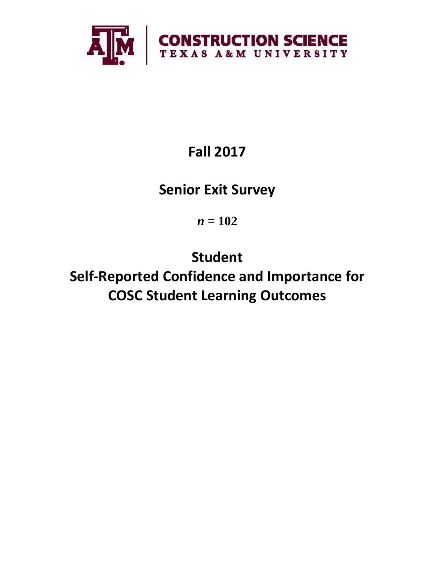

# **Fall 2017**

## **Senior Exit Survey**

*n* **= 102**

**Student Self-Reported Confidence and Importance for COSC Student Learning Outcomes**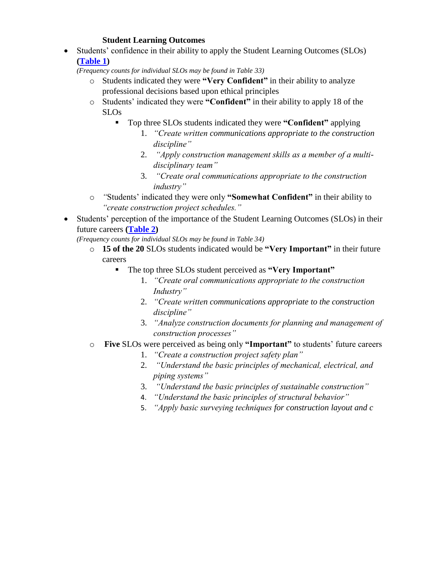## **Student Learning Outcomes**

 Students' confidence in their ability to apply the Student Learning Outcomes (SLOs) **[\(Table 1\)](#page-2-0)**

*(Frequency counts for individual SLOs may be found in Table 33)*

- o Students indicated they were **"Very Confident"** in their ability to analyze professional decisions based upon ethical principles
- o Students' indicated they were **"Confident"** in their ability to apply 18 of the SLOs
	- Top three SLOs students indicated they were **"Confident"** applying
		- 1. *"Create written communications appropriate to the construction discipline"*
		- 2. *"Apply construction management skills as a member of a multidisciplinary team"*
		- 3. *"Create oral communications appropriate to the construction industry"*
- o *"*Students' indicated they were only **"Somewhat Confident"** in their ability to *"create construction project schedules."*
- Students' perception of the importance of the Student Learning Outcomes (SLOs) in their future careers **[\(Table 2\)](#page-3-0)**

*(Frequency counts for individual SLOs may be found in Table 34)*

- o **15 of the 20** SLOs students indicated would be **"Very Important"** in their future careers
	- The top three SLOs student perceived as **"Very Important"**
		- 1. *"Create oral communications appropriate to the construction Industry"*
		- 2. *"Create written communications appropriate to the construction discipline"*
		- 3. *"Analyze construction documents for planning and management of construction processes"*
- o **Five** SLOs were perceived as being only **"Important"** to students' future careers
	- 1. *"Create a construction project safety plan"*
	- 2. *"Understand the basic principles of mechanical, electrical, and piping systems"*
	- 3. *"Understand the basic principles of sustainable construction"*
	- 4. *"Understand the basic principles of structural behavior"*
	- 5. *"Apply basic surveying techniques for construction layout and c*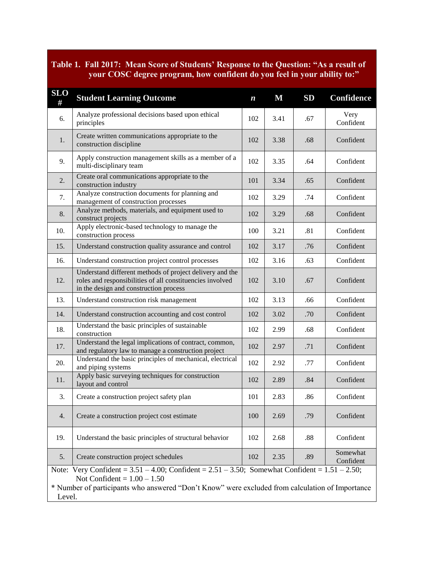## <span id="page-2-0"></span>**Table 1. Fall 2017: Mean Score of Students' Response to the Question: "As a result of your COSC degree program, how confident do you feel in your ability to:"**

| <b>SLO</b><br>#                                                                                                                                                                                                                                       | <b>Student Learning Outcome</b>                                                                                                                                 | $\boldsymbol{n}$ | $\bf M$ | SD  | <b>Confidence</b>     |  |  |
|-------------------------------------------------------------------------------------------------------------------------------------------------------------------------------------------------------------------------------------------------------|-----------------------------------------------------------------------------------------------------------------------------------------------------------------|------------------|---------|-----|-----------------------|--|--|
| 6.                                                                                                                                                                                                                                                    | Analyze professional decisions based upon ethical<br>principles                                                                                                 | 102              | 3.41    | .67 | Very<br>Confident     |  |  |
| 1.                                                                                                                                                                                                                                                    | Create written communications appropriate to the<br>construction discipline                                                                                     | 102              | 3.38    | .68 | Confident             |  |  |
| 9.                                                                                                                                                                                                                                                    | Apply construction management skills as a member of a<br>102<br>multi-disciplinary team                                                                         |                  | 3.35    | .64 | Confident             |  |  |
| 2.                                                                                                                                                                                                                                                    | Create oral communications appropriate to the<br>construction industry                                                                                          | 101              | 3.34    | .65 | Confident             |  |  |
| 7.                                                                                                                                                                                                                                                    | Analyze construction documents for planning and<br>management of construction processes                                                                         | 102              | 3.29    | .74 | Confident             |  |  |
| 8.                                                                                                                                                                                                                                                    | Analyze methods, materials, and equipment used to<br>construct projects                                                                                         | 102              | 3.29    | .68 | Confident             |  |  |
| 10.                                                                                                                                                                                                                                                   | Apply electronic-based technology to manage the<br>construction process                                                                                         | 100              | 3.21    | .81 | Confident             |  |  |
| 15.                                                                                                                                                                                                                                                   | Understand construction quality assurance and control                                                                                                           | 102              | 3.17    | .76 | Confident             |  |  |
| 16.                                                                                                                                                                                                                                                   | Understand construction project control processes                                                                                                               | 102              | 3.16    | .63 | Confident             |  |  |
| 12.                                                                                                                                                                                                                                                   | Understand different methods of project delivery and the<br>roles and responsibilities of all constituencies involved<br>in the design and construction process |                  | 3.10    | .67 | Confident             |  |  |
| 13.                                                                                                                                                                                                                                                   | Understand construction risk management                                                                                                                         |                  | 3.13    | .66 | Confident             |  |  |
| 14.                                                                                                                                                                                                                                                   | Understand construction accounting and cost control                                                                                                             | 102              | 3.02    | .70 | Confident             |  |  |
| 18.                                                                                                                                                                                                                                                   | Understand the basic principles of sustainable<br>construction                                                                                                  | 102              | 2.99    | .68 | Confident             |  |  |
| 17.                                                                                                                                                                                                                                                   | Understand the legal implications of contract, common,<br>and regulatory law to manage a construction project                                                   | 102              | 2.97    | .71 | Confident             |  |  |
| 20.                                                                                                                                                                                                                                                   | Understand the basic principles of mechanical, electrical<br>and piping systems                                                                                 | 102              | 2.92    | .77 | Confident             |  |  |
| 11.                                                                                                                                                                                                                                                   | Apply basic surveying techniques for construction<br>layout and control                                                                                         | 102              | 2.89    | .84 | Confident             |  |  |
| 3.                                                                                                                                                                                                                                                    | Create a construction project safety plan                                                                                                                       | 101              | 2.83    | .86 | Confident             |  |  |
| 4.                                                                                                                                                                                                                                                    | Create a construction project cost estimate                                                                                                                     |                  | 2.69    | .79 | Confident             |  |  |
| 19.                                                                                                                                                                                                                                                   | Understand the basic principles of structural behavior                                                                                                          |                  | 2.68    | .88 | Confident             |  |  |
| 5.                                                                                                                                                                                                                                                    | Create construction project schedules                                                                                                                           | 102              | 2.35    | .89 | Somewhat<br>Confident |  |  |
| Note: Very Confident = $3.51 - 4.00$ ; Confident = $2.51 - 3.50$ ; Somewhat Confident = $1.51 - 2.50$ ;<br>Not Confident = $1.00 - 1.50$<br>* Number of participants who answered "Don't Know" were excluded from calculation of Importance<br>Level. |                                                                                                                                                                 |                  |         |     |                       |  |  |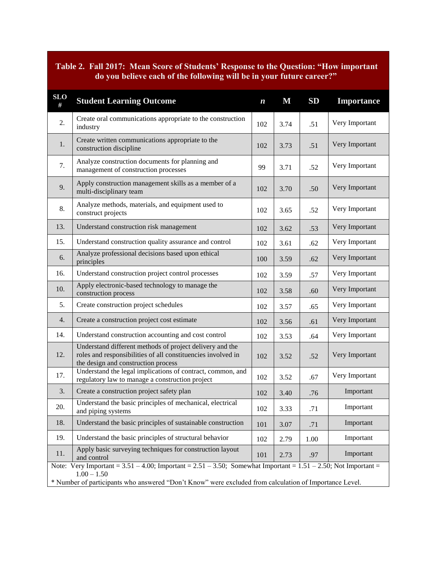## <span id="page-3-0"></span>**Table 2. Fall 2017: Mean Score of Students' Response to the Question: "How important do you believe each of the following will be in your future career?"**

| <b>SLO</b><br>#                                                                                                                             | <b>Student Learning Outcome</b>                                                                                                                                 | $\boldsymbol{n}$ | $\mathbf M$ | SD   | Importance     |  |  |
|---------------------------------------------------------------------------------------------------------------------------------------------|-----------------------------------------------------------------------------------------------------------------------------------------------------------------|------------------|-------------|------|----------------|--|--|
| 2.                                                                                                                                          | Create oral communications appropriate to the construction<br>industry                                                                                          | 102              | 3.74        | .51  | Very Important |  |  |
| 1.                                                                                                                                          | Create written communications appropriate to the<br>102<br>construction discipline                                                                              |                  | 3.73        | .51  | Very Important |  |  |
| 7.                                                                                                                                          | Analyze construction documents for planning and<br>management of construction processes                                                                         | 99               | 3.71        | .52  | Very Important |  |  |
| 9.                                                                                                                                          | Apply construction management skills as a member of a<br>multi-disciplinary team                                                                                | 102              | 3.70        | .50  | Very Important |  |  |
| 8.                                                                                                                                          | Analyze methods, materials, and equipment used to<br>construct projects                                                                                         | 102              | 3.65        | .52  | Very Important |  |  |
| 13.                                                                                                                                         | Understand construction risk management                                                                                                                         | 102              | 3.62        | .53  | Very Important |  |  |
| 15.                                                                                                                                         | Understand construction quality assurance and control                                                                                                           | 102              | 3.61        | .62  | Very Important |  |  |
| 6.                                                                                                                                          | Analyze professional decisions based upon ethical<br>principles                                                                                                 | 100              | 3.59        | .62  | Very Important |  |  |
| 16.                                                                                                                                         | Understand construction project control processes                                                                                                               |                  | 3.59        | .57  | Very Important |  |  |
| 10.                                                                                                                                         | Apply electronic-based technology to manage the<br>construction process                                                                                         |                  | 3.58        | .60  | Very Important |  |  |
| 5.                                                                                                                                          | Create construction project schedules                                                                                                                           |                  | 3.57        | .65  | Very Important |  |  |
| 4.                                                                                                                                          | Create a construction project cost estimate                                                                                                                     |                  | 3.56        | .61  | Very Important |  |  |
| 14.                                                                                                                                         | Understand construction accounting and cost control                                                                                                             |                  | 3.53        | .64  | Very Important |  |  |
| 12.                                                                                                                                         | Understand different methods of project delivery and the<br>roles and responsibilities of all constituencies involved in<br>the design and construction process |                  | 3.52        | .52  | Very Important |  |  |
| 17.                                                                                                                                         | Understand the legal implications of contract, common, and<br>regulatory law to manage a construction project                                                   |                  | 3.52        | .67  | Very Important |  |  |
| 3.                                                                                                                                          | Create a construction project safety plan                                                                                                                       |                  | 3.40        | .76  | Important      |  |  |
| 20.                                                                                                                                         | Understand the basic principles of mechanical, electrical<br>and piping systems                                                                                 |                  | 3.33        | .71  | Important      |  |  |
| 18.                                                                                                                                         | Understand the basic principles of sustainable construction                                                                                                     |                  | 3.07        | .71  | Important      |  |  |
| 19.                                                                                                                                         | Understand the basic principles of structural behavior                                                                                                          |                  | 2.79        | 1.00 | Important      |  |  |
| 11.                                                                                                                                         | Apply basic surveying techniques for construction layout<br>and control                                                                                         |                  | 2.73        | .97  | Important      |  |  |
| Very Important = $3.51 - 4.00$ ; Important = $2.51 - 3.50$ ; Somewhat Important = $1.51 - 2.50$ ; Not Important =<br>Note:<br>$1.00 - 1.50$ |                                                                                                                                                                 |                  |             |      |                |  |  |
| * Number of participants who answered "Don't Know" were excluded from calculation of Importance Level.                                      |                                                                                                                                                                 |                  |             |      |                |  |  |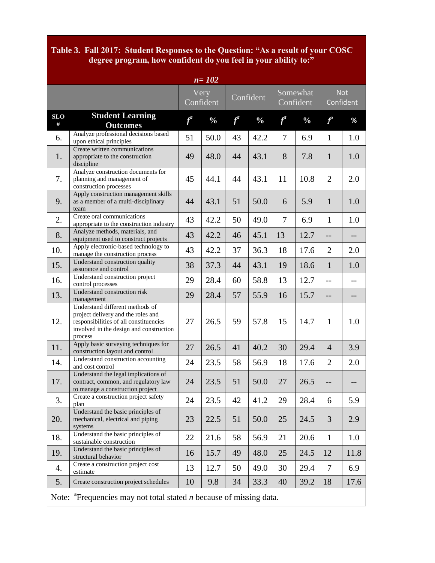## **Table 3. Fall 2017: Student Responses to the Question: "As a result of your COSC degree program, how confident do you feel in your ability to:"**

| $n = 102$                                                                                      |                                                                                                                                                                       |       |                   |           |               |                       |               |                         |      |
|------------------------------------------------------------------------------------------------|-----------------------------------------------------------------------------------------------------------------------------------------------------------------------|-------|-------------------|-----------|---------------|-----------------------|---------------|-------------------------|------|
|                                                                                                |                                                                                                                                                                       |       | Very<br>Confident | Confident |               | Somewhat<br>Confident |               | <b>Not</b><br>Confident |      |
| <b>SLO</b><br>$\#$                                                                             | <b>Student Learning</b><br><b>Outcomes</b>                                                                                                                            | $f^a$ | $\frac{0}{0}$     | $f^a$     | $\frac{0}{0}$ | $f^a$                 | $\frac{0}{0}$ | $\boldsymbol{f}^a$      | %    |
| 6.                                                                                             | Analyze professional decisions based<br>upon ethical principles                                                                                                       | 51    | 50.0              | 43        | 42.2          | 7                     | 6.9           | $\mathbf{1}$            | 1.0  |
| 1.                                                                                             | Create written communications<br>appropriate to the construction<br>discipline                                                                                        | 49    | 48.0              | 44        | 43.1          | 8                     | 7.8           | $\mathbf{1}$            | 1.0  |
| 7.                                                                                             | Analyze construction documents for<br>planning and management of<br>construction processes                                                                            | 45    | 44.1              | 44        | 43.1          | 11                    | 10.8          | $\overline{2}$          | 2.0  |
| 9.                                                                                             | Apply construction management skills<br>as a member of a multi-disciplinary<br>team                                                                                   | 44    | 43.1              | 51        | 50.0          | 6                     | 5.9           | $\mathbf{1}$            | 1.0  |
| 2.                                                                                             | Create oral communications<br>appropriate to the construction industry                                                                                                | 43    | 42.2              | 50        | 49.0          | 7                     | 6.9           | $\mathbf{1}$            | 1.0  |
| 8.                                                                                             | Analyze methods, materials, and<br>equipment used to construct projects                                                                                               | 43    | 42.2              | 46        | 45.1          | 13                    | 12.7          | $-$                     | $-$  |
| 10.                                                                                            | Apply electronic-based technology to<br>manage the construction process                                                                                               | 43    | 42.2              | 37        | 36.3          | 18                    | 17.6          | $\overline{2}$          | 2.0  |
| 15.                                                                                            | Understand construction quality<br>assurance and control                                                                                                              | 38    | 37.3              | 44        | 43.1          | 19                    | 18.6          | $\mathbf{1}$            | 1.0  |
| 16.                                                                                            | Understand construction project<br>control processes                                                                                                                  | 29    | 28.4              | 60        | 58.8          | 13                    | 12.7          | $-$                     |      |
| 13.                                                                                            | Understand construction risk<br>management                                                                                                                            | 29    | 28.4              | 57        | 55.9          | 16                    | 15.7          | $-$                     | $-$  |
| 12.                                                                                            | Understand different methods of<br>project delivery and the roles and<br>responsibilities of all constituencies<br>involved in the design and construction<br>process | 27    | 26.5              | 59        | 57.8          | 15                    | 14.7          | $\mathbf{1}$            | 1.0  |
| 11.                                                                                            | Apply basic surveying techniques for<br>construction layout and control                                                                                               | 27    | 26.5              | 41        | 40.2          | 30                    | 29.4          | $\overline{4}$          | 3.9  |
| 14.                                                                                            | Understand construction accounting<br>and cost control                                                                                                                | 24    | 23.5              | 58        | 56.9          | 18                    | 17.6          | $\overline{2}$          | 2.0  |
| 17.                                                                                            | Understand the legal implications of<br>contract, common, and regulatory law<br>to manage a construction project                                                      | 24    | 23.5              | 51        | 50.0          | 27                    | 26.5          |                         |      |
| 3.                                                                                             | Create a construction project safety<br>plan                                                                                                                          | 24    | 23.5              | 42        | 41.2          | 29                    | 28.4          | 6                       | 5.9  |
| 20.                                                                                            | Understand the basic principles of<br>mechanical, electrical and piping<br>systems                                                                                    | 23    | 22.5              | 51        | 50.0          | 25                    | 24.5          | 3                       | 2.9  |
| 18.                                                                                            | Understand the basic principles of<br>sustainable construction                                                                                                        | 22    | 21.6              | 58        | 56.9          | 21                    | 20.6          | $\mathbf{1}$            | 1.0  |
| 19.                                                                                            | Understand the basic principles of<br>structural behavior                                                                                                             | 16    | 15.7              | 49        | 48.0          | 25                    | 24.5          | 12                      | 11.8 |
| 4.                                                                                             | Create a construction project cost<br>estimate                                                                                                                        | 13    | 12.7              | 50        | 49.0          | 30                    | 29.4          | 7                       | 6.9  |
| 5.                                                                                             | Create construction project schedules                                                                                                                                 | 10    | 9.8               | 34        | 33.3          | 40                    | 39.2          | 18                      | 17.6 |
| Note: $\alpha$ <sup>a</sup> Frequencies may not total stated <i>n</i> because of missing data. |                                                                                                                                                                       |       |                   |           |               |                       |               |                         |      |